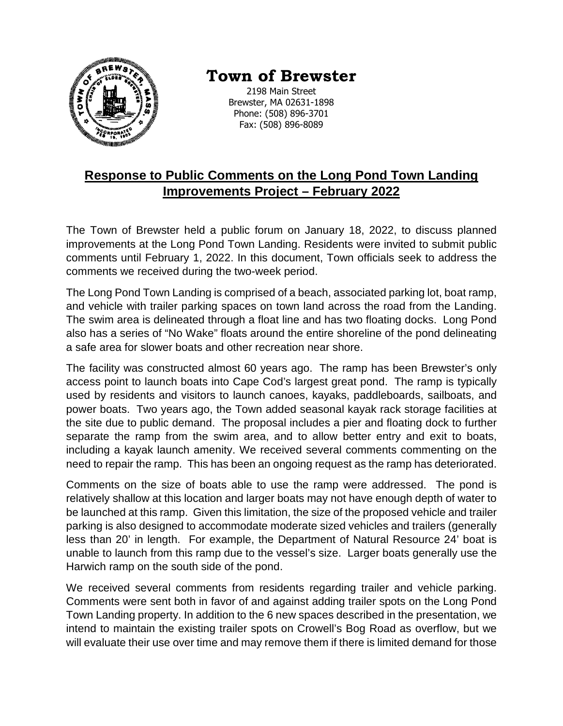

## **Town of Brewster**

2198 Main Street Brewster, MA 02631-1898 Phone: (508) 896-3701 Fax: (508) 896-8089

## **Response to Public Comments on the Long Pond Town Landing Improvements Project – February 2022**

The Town of Brewster held a public forum on January 18, 2022, to discuss planned improvements at the Long Pond Town Landing. Residents were invited to submit public comments until February 1, 2022. In this document, Town officials seek to address the comments we received during the two-week period.

The Long Pond Town Landing is comprised of a beach, associated parking lot, boat ramp, and vehicle with trailer parking spaces on town land across the road from the Landing. The swim area is delineated through a float line and has two floating docks. Long Pond also has a series of "No Wake" floats around the entire shoreline of the pond delineating a safe area for slower boats and other recreation near shore.

The facility was constructed almost 60 years ago. The ramp has been Brewster's only access point to launch boats into Cape Cod's largest great pond. The ramp is typically used by residents and visitors to launch canoes, kayaks, paddleboards, sailboats, and power boats. Two years ago, the Town added seasonal kayak rack storage facilities at the site due to public demand. The proposal includes a pier and floating dock to further separate the ramp from the swim area, and to allow better entry and exit to boats, including a kayak launch amenity. We received several comments commenting on the need to repair the ramp. This has been an ongoing request as the ramp has deteriorated.

Comments on the size of boats able to use the ramp were addressed. The pond is relatively shallow at this location and larger boats may not have enough depth of water to be launched at this ramp. Given this limitation, the size of the proposed vehicle and trailer parking is also designed to accommodate moderate sized vehicles and trailers (generally less than 20' in length. For example, the Department of Natural Resource 24' boat is unable to launch from this ramp due to the vessel's size. Larger boats generally use the Harwich ramp on the south side of the pond.

We received several comments from residents regarding trailer and vehicle parking. Comments were sent both in favor of and against adding trailer spots on the Long Pond Town Landing property. In addition to the 6 new spaces described in the presentation, we intend to maintain the existing trailer spots on Crowell's Bog Road as overflow, but we will evaluate their use over time and may remove them if there is limited demand for those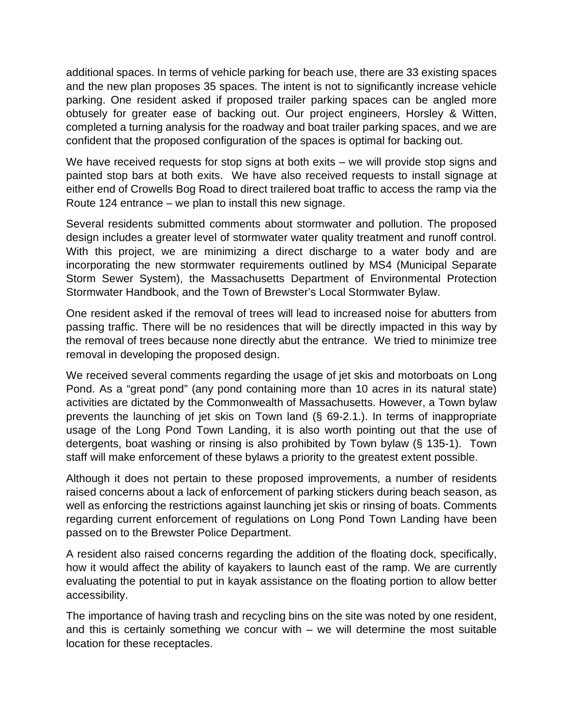additional spaces. In terms of vehicle parking for beach use, there are 33 existing spaces and the new plan proposes 35 spaces. The intent is not to significantly increase vehicle parking. One resident asked if proposed trailer parking spaces can be angled more obtusely for greater ease of backing out. Our project engineers, Horsley & Witten, completed a turning analysis for the roadway and boat trailer parking spaces, and we are confident that the proposed configuration of the spaces is optimal for backing out.

We have received requests for stop signs at both exits – we will provide stop signs and painted stop bars at both exits. We have also received requests to install signage at either end of Crowells Bog Road to direct trailered boat traffic to access the ramp via the Route 124 entrance – we plan to install this new signage.

Several residents submitted comments about stormwater and pollution. The proposed design includes a greater level of stormwater water quality treatment and runoff control. With this project, we are minimizing a direct discharge to a water body and are incorporating the new stormwater requirements outlined by MS4 (Municipal Separate Storm Sewer System), the Massachusetts Department of Environmental Protection Stormwater Handbook, and the Town of Brewster's Local Stormwater Bylaw.

One resident asked if the removal of trees will lead to increased noise for abutters from passing traffic. There will be no residences that will be directly impacted in this way by the removal of trees because none directly abut the entrance. We tried to minimize tree removal in developing the proposed design.

We received several comments regarding the usage of jet skis and motorboats on Long Pond. As a "great pond" (any pond containing more than 10 acres in its natural state) activities are dictated by the Commonwealth of Massachusetts. However, a Town bylaw prevents the launching of jet skis on Town land (§ 69-2.1.). In terms of inappropriate usage of the Long Pond Town Landing, it is also worth pointing out that the use of detergents, boat washing or rinsing is also prohibited by Town bylaw (§ 135-1). Town staff will make enforcement of these bylaws a priority to the greatest extent possible.

Although it does not pertain to these proposed improvements, a number of residents raised concerns about a lack of enforcement of parking stickers during beach season, as well as enforcing the restrictions against launching jet skis or rinsing of boats. Comments regarding current enforcement of regulations on Long Pond Town Landing have been passed on to the Brewster Police Department.

A resident also raised concerns regarding the addition of the floating dock, specifically, how it would affect the ability of kayakers to launch east of the ramp. We are currently evaluating the potential to put in kayak assistance on the floating portion to allow better accessibility.

The importance of having trash and recycling bins on the site was noted by one resident, and this is certainly something we concur with – we will determine the most suitable location for these receptacles.